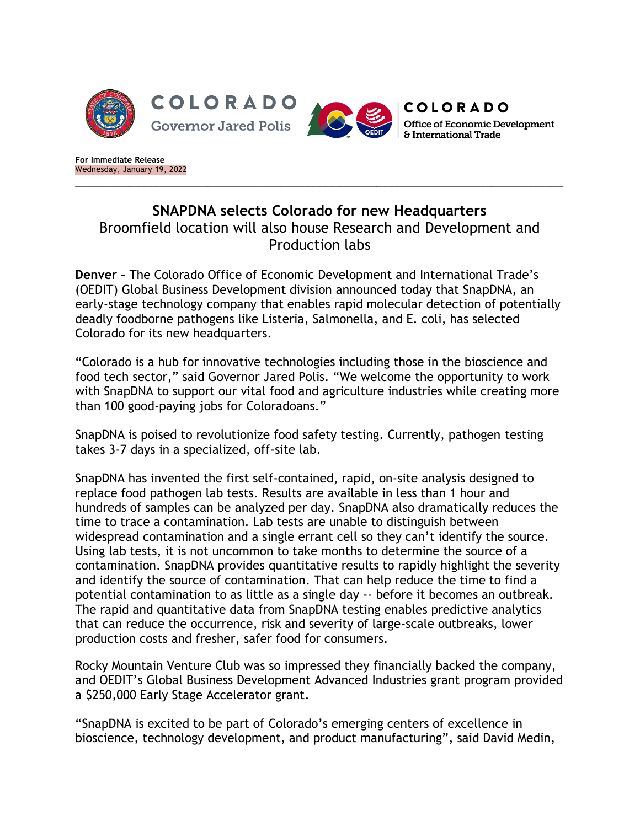

**For Immediate Release** Wednesday, January 19, 2022

## **SNAPDNA selects Colorado for new Headquarters** Broomfield location will also house Research and Development and Production labs

\_\_\_\_\_\_\_\_\_\_\_\_\_\_\_\_\_\_\_\_\_\_\_\_\_\_\_\_\_\_\_\_\_\_\_\_\_\_\_\_\_\_\_\_\_\_\_\_\_\_\_\_\_\_\_\_\_\_\_\_\_\_\_\_\_\_\_\_\_\_\_\_\_\_\_\_\_\_\_\_\_

**Denver –** The Colorado Office of Economic Development and International Trade's (OEDIT) Global Business Development division announced today that SnapDNA, an early-stage technology company that enables rapid molecular detection of potentially deadly foodborne pathogens like Listeria, Salmonella, and E. coli, has selected Colorado for its new headquarters.

"Colorado is a hub for innovative technologies including those in the bioscience and food tech sector," said Governor Jared Polis. "We welcome the opportunity to work with SnapDNA to support our vital food and agriculture industries while creating more than 100 good-paying jobs for Coloradoans."

SnapDNA is poised to revolutionize food safety testing. Currently, pathogen testing takes 3-7 days in a specialized, off-site lab.

SnapDNA has invented the first self-contained, rapid, on-site analysis designed to replace food pathogen lab tests. Results are available in less than 1 hour and hundreds of samples can be analyzed per day. SnapDNA also dramatically reduces the time to trace a contamination. Lab tests are unable to distinguish between widespread contamination and a single errant cell so they can't identify the source. Using lab tests, it is not uncommon to take months to determine the source of a contamination. SnapDNA provides quantitative results to rapidly highlight the severity and identify the source of contamination. That can help reduce the time to find a potential contamination to as little as a single day -- before it becomes an outbreak. The rapid and quantitative data from SnapDNA testing enables predictive analytics that can reduce the occurrence, risk and severity of large-scale outbreaks, lower production costs and fresher, safer food for consumers.

Rocky Mountain Venture Club was so impressed they financially backed the company, and OEDIT's Global Business Development Advanced Industries grant program provided a \$250,000 Early Stage Accelerator grant.

"SnapDNA is excited to be part of Colorado's emerging centers of excellence in bioscience, technology development, and product manufacturing", said David Medin,